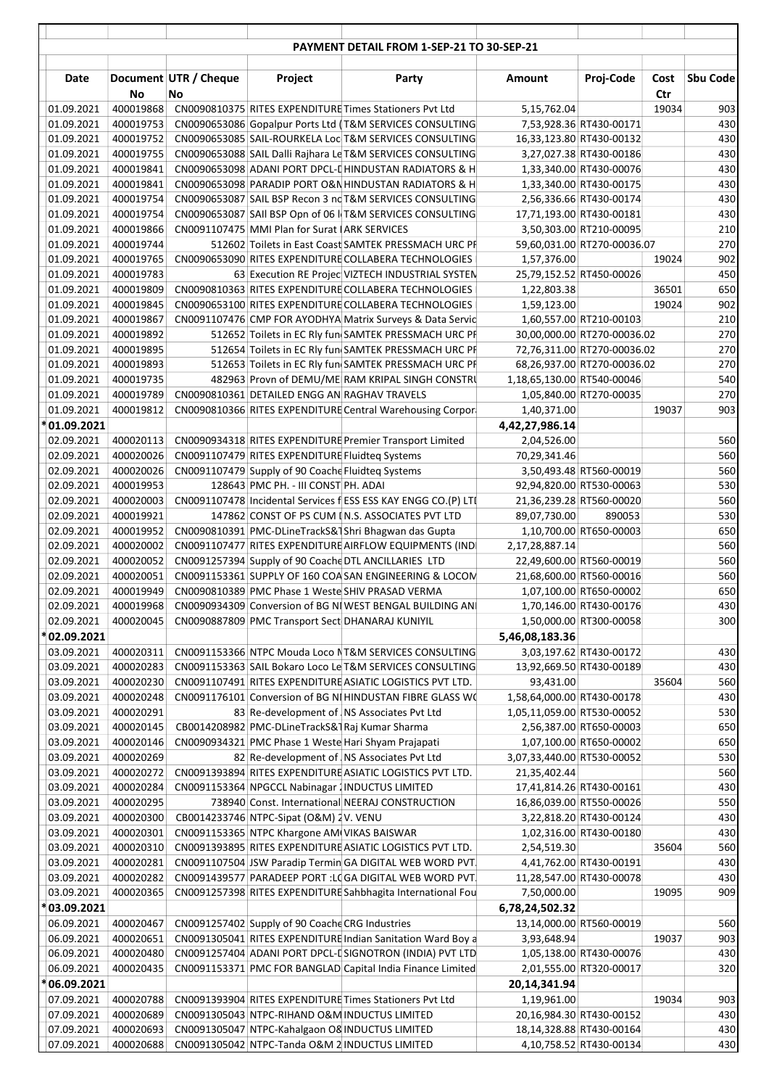|                            |                        |                             |                                                   | PAYMENT DETAIL FROM 1-SEP-21 TO 30-SEP-21                                                                 |                            |                                                    |             |                 |
|----------------------------|------------------------|-----------------------------|---------------------------------------------------|-----------------------------------------------------------------------------------------------------------|----------------------------|----------------------------------------------------|-------------|-----------------|
| Date                       | No                     | Document UTR / Cheque<br>No | Project                                           | Party                                                                                                     | Amount                     | Proj-Code                                          | Cost<br>Ctr | <b>Sbu Code</b> |
| 01.09.2021                 | 400019868              |                             |                                                   | CN0090810375 RITES EXPENDITURE Times Stationers Pvt Ltd                                                   | 5,15,762.04                |                                                    | 19034       | 903             |
| 01.09.2021                 | 400019753              |                             |                                                   | CN0090653086 Gopalpur Ports Ltd (T&M SERVICES CONSULTING                                                  |                            | 7,53,928.36 RT430-00171                            |             | 430             |
| 01.09.2021                 | 400019752              |                             |                                                   | CN0090653085 SAIL-ROURKELA Loc T&M SERVICES CONSULTING                                                    |                            | 16,33,123.80 RT430-00132                           |             | 430             |
| 01.09.2021                 | 400019755              |                             |                                                   | CN0090653088 SAIL Dalli Rajhara Le T&M SERVICES CONSULTING                                                |                            | 3,27,027.38 RT430-00186                            |             | 430             |
| 01.09.2021                 | 400019841              |                             |                                                   | CN0090653098 ADANI PORT DPCL-[ HINDUSTAN RADIATORS & H                                                    |                            | 1,33,340.00 RT430-00076                            |             | 430             |
| 01.09.2021                 | 400019841              |                             |                                                   | CN0090653098 PARADIP PORT O&N HINDUSTAN RADIATORS & H                                                     |                            | 1,33,340.00 RT430-00175                            |             | 430             |
| 01.09.2021                 | 400019754              |                             |                                                   | CN0090653087 SAIL BSP Recon 3 nd T&M SERVICES CONSULTING                                                  |                            | 2,56,336.66 RT430-00174                            |             | 430             |
| 01.09.2021                 | 400019754              |                             |                                                   | CN0090653087 SAII BSP Opn of 06 IT&M SERVICES CONSULTING                                                  |                            | 17,71,193.00 RT430-00181                           |             | 430             |
| 01.09.2021                 | 400019866              |                             | CN0091107475 MMI Plan for Surat (ARK SERVICES     |                                                                                                           |                            | 3,50,303.00 RT210-00095                            |             | 210             |
| 01.09.2021                 | 400019744              |                             |                                                   | 512602 Toilets in East Coast SAMTEK PRESSMACH URC PF                                                      |                            | 59,60,031.00 RT270-00036.07                        |             | 270<br>902      |
| 01.09.2021<br>01.09.2021   | 400019765<br>400019783 |                             |                                                   | CN0090653090 RITES EXPENDITURE COLLABERA TECHNOLOGIES<br>63 Execution RE Projec VIZTECH INDUSTRIAL SYSTEM | 1,57,376.00                | 25,79,152.52 RT450-00026                           | 19024       | 450             |
| 01.09.2021                 | 400019809              |                             |                                                   | CN0090810363 RITES EXPENDITURE COLLABERA TECHNOLOGIES                                                     | 1,22,803.38                |                                                    | 36501       | 650             |
| 01.09.2021                 | 400019845              |                             |                                                   | CN0090653100 RITES EXPENDITURE COLLABERA TECHNOLOGIES                                                     | 1,59,123.00                |                                                    | 19024       | 902             |
| 01.09.2021                 | 400019867              |                             |                                                   | CN0091107476 CMP FOR AYODHYA Matrix Surveys & Data Servic                                                 |                            | 1,60,557.00 RT210-00103                            |             | 210             |
| 01.09.2021                 | 400019892              |                             |                                                   | 512652 Toilets in EC Rly fun SAMTEK PRESSMACH URC PF                                                      |                            | 30,00,000.00 RT270-00036.02                        |             | 270             |
| 01.09.2021                 | 400019895              |                             |                                                   | 512654 Toilets in EC Rly fun SAMTEK PRESSMACH URC PF                                                      |                            | 72,76,311.00 RT270-00036.02                        |             | 270             |
| 01.09.2021                 | 400019893              |                             |                                                   | 512653 Toilets in EC Rly fun SAMTEK PRESSMACH URC PF                                                      |                            | 68,26,937.00 RT270-00036.02                        |             | 270             |
| 01.09.2021                 | 400019735              |                             |                                                   | 482963 Provn of DEMU/ME RAM KRIPAL SINGH CONSTRU                                                          | 1,18,65,130.00 RT540-00046 |                                                    |             | 540             |
| 01.09.2021                 | 400019789              |                             | CN0090810361 DETAILED ENGG AN RAGHAV TRAVELS      |                                                                                                           |                            | 1,05,840.00 RT270-00035                            |             | 270             |
| 01.09.2021                 | 400019812              |                             |                                                   | CN0090810366 RITES EXPENDITURE Central Warehousing Corpor                                                 | 1,40,371.00                |                                                    | 19037       | 903             |
| *01.09.2021                |                        |                             |                                                   |                                                                                                           | 4,42,27,986.14             |                                                    |             |                 |
| 02.09.2021                 | 400020113              |                             |                                                   | CN0090934318 RITES EXPENDITURE Premier Transport Limited                                                  | 2,04,526.00                |                                                    |             | 560             |
| 02.09.2021                 | 400020026              |                             | CN0091107479 RITES EXPENDITURE Fluidteg Systems   |                                                                                                           | 70,29,341.46               |                                                    |             | 560             |
| 02.09.2021                 | 400020026              |                             | CN0091107479 Supply of 90 Coache Fluidteg Systems |                                                                                                           |                            | 3,50,493.48 RT560-00019                            |             | 560             |
| 02.09.2021                 | 400019953              |                             | 128643 PMC PH. - III CONST PH. ADAI               |                                                                                                           |                            | 92,94,820.00 RT530-00063                           |             | 530             |
| 02.09.2021                 | 400020003              |                             |                                                   | CN0091107478 Incidental Services f ESS ESS KAY ENGG CO.(P) LTI                                            |                            | 21,36,239.28 RT560-00020                           |             | 560             |
| 02.09.2021<br>02.09.2021   | 400019921<br>400019952 |                             |                                                   | 147862 CONST OF PS CUM IN.S. ASSOCIATES PVT LTD<br>CN0090810391 PMC-DLineTrackS&1Shri Bhagwan das Gupta   | 89,07,730.00               | 890053<br>1,10,700.00 RT650-00003                  |             | 530<br>650      |
| 02.09.2021                 | 400020002              |                             |                                                   | CN0091107477 RITES EXPENDITURE AIRFLOW EQUIPMENTS (IND)                                                   | 2,17,28,887.14             |                                                    |             | 560             |
| 02.09.2021                 | 400020052              |                             |                                                   | CN0091257394 Supply of 90 Coache DTL ANCILLARIES LTD                                                      |                            | 22,49,600.00 RT560-00019                           |             | 560             |
| 02.09.2021                 | 400020051              |                             |                                                   | CN0091153361 SUPPLY OF 160 COASAN ENGINEERING & LOCOM                                                     |                            | 21,68,600.00 RT560-00016                           |             | 560             |
| 02.09.2021                 | 400019949              |                             |                                                   | CN0090810389 PMC Phase 1 Weste SHIV PRASAD VERMA                                                          |                            | 1,07,100.00 RT650-00002                            |             | 650             |
| 02.09.2021                 | 400019968              |                             |                                                   | CN0090934309 Conversion of BG NIWEST BENGAL BUILDING AND                                                  |                            | 1,70,146.00 RT430-00176                            |             | 430             |
| 02.09.2021                 | 400020045              |                             |                                                   | CN0090887809 PMC Transport Sect DHANARAJ KUNIYIL                                                          |                            | 1,50,000.00 RT300-00058                            |             | 300             |
| 02.09.2021                 |                        |                             |                                                   |                                                                                                           | 5,46,08,183.36             |                                                    |             |                 |
| 03.09.2021                 | 400020311              |                             |                                                   | CN0091153366 NTPC Mouda Loco NT&M SERVICES CONSULTING                                                     |                            | 3,03,197.62 RT430-00172                            |             | 430             |
| 03.09.2021                 | 400020283              |                             |                                                   | CN0091153363 SAIL Bokaro Loco Le T&M SERVICES CONSULTING                                                  |                            | 13,92,669.50 RT430-00189                           |             | 430             |
| 03.09.2021                 | 400020230              |                             |                                                   | CN0091107491 RITES EXPENDITURE ASIATIC LOGISTICS PVT LTD.                                                 | 93,431.00                  |                                                    | 35604       | 560             |
| 03.09.2021                 | 400020248              |                             |                                                   | CN0091176101 Conversion of BG NIHINDUSTAN FIBRE GLASS WO                                                  | 1,58,64,000.00 RT430-00178 |                                                    |             | 430             |
| 03.09.2021                 | 400020291              |                             |                                                   | 83 Re-development of NS Associates Pvt Ltd                                                                | 1,05,11,059.00 RT530-00052 |                                                    |             | 530             |
| 03.09.2021<br>03.09.2021   | 400020145<br>400020146 |                             | CB0014208982 PMC-DLineTrackS&1Raj Kumar Sharma    | CN0090934321 PMC Phase 1 Weste Hari Shyam Prajapati                                                       |                            | 2,56,387.00 RT650-00003<br>1,07,100.00 RT650-00002 |             | 650<br>650      |
| 03.09.2021                 | 400020269              |                             |                                                   | 82 Re-development of NS Associates Pvt Ltd                                                                | 3,07,33,440.00 RT530-00052 |                                                    |             | 530             |
| 03.09.2021                 | 400020272              |                             |                                                   | CN0091393894 RITES EXPENDITURE ASIATIC LOGISTICS PVT LTD.                                                 | 21,35,402.44               |                                                    |             | 560             |
| 03.09.2021                 | 400020284              |                             |                                                   | CN0091153364 NPGCCL Nabinagar 1 INDUCTUS LIMITED                                                          |                            | 17,41,814.26 RT430-00161                           |             | 430             |
| 03.09.2021                 | 400020295              |                             |                                                   | 738940 Const. International NEERAJ CONSTRUCTION                                                           |                            | 16,86,039.00 RT550-00026                           |             | 550             |
| 03.09.2021                 | 400020300              |                             | CB0014233746 NTPC-Sipat (O&M) 2V. VENU            |                                                                                                           |                            | 3,22,818.20 RT430-00124                            |             | 430             |
| 03.09.2021                 | 400020301              |                             | CN0091153365 NTPC Khargone AM VIKAS BAISWAR       |                                                                                                           |                            | 1,02,316.00 RT430-00180                            |             | 430             |
| 03.09.2021                 | 400020310              |                             |                                                   | CN0091393895 RITES EXPENDITURE ASIATIC LOGISTICS PVT LTD.                                                 | 2,54,519.30                |                                                    | 35604       | 560             |
| 03.09.2021                 | 400020281              |                             |                                                   | CN0091107504 JSW Paradip Termin GA DIGITAL WEB WORD PVT.                                                  |                            | 4,41,762.00 RT430-00191                            |             | 430             |
| 03.09.2021                 | 400020282              |                             |                                                   | CN0091439577 PARADEEP PORT :LOGA DIGITAL WEB WORD PVT.                                                    |                            | 11,28,547.00 RT430-00078                           |             | 430             |
| 03.09.2021                 | 400020365              |                             |                                                   | CN0091257398 RITES EXPENDITURE Sahbhagita International Fou                                               | 7,50,000.00                |                                                    | 19095       | 909             |
| 03.09.2021                 |                        |                             |                                                   |                                                                                                           | 6,78,24,502.32             |                                                    |             |                 |
| 06.09.2021                 | 400020467              |                             | CN0091257402 Supply of 90 Coache CRG Industries   |                                                                                                           |                            | 13,14,000.00 RT560-00019                           |             | 560             |
| 06.09.2021                 | 400020651              |                             |                                                   | CN0091305041 RITES EXPENDITURE Indian Sanitation Ward Boy a                                               | 3,93,648.94                |                                                    | 19037       | 903             |
| 06.09.2021                 | 400020480              |                             |                                                   | CN0091257404 ADANI PORT DPCL-L SIGNOTRON (INDIA) PVT LTD                                                  |                            | 1,05,138.00 RT430-00076                            |             | 430             |
| 06.09.2021<br>* 06.09.2021 | 400020435              |                             |                                                   | CN0091153371 PMC FOR BANGLAD Capital India Finance Limited                                                | 20,14,341.94               | 2,01,555.00 RT320-00017                            |             | 320             |
| 07.09.2021                 | 400020788              |                             |                                                   | CN0091393904 RITES EXPENDITURE Times Stationers Pvt Ltd                                                   | 1,19,961.00                |                                                    | 19034       | 903             |
| 07.09.2021                 | 400020689              |                             |                                                   | CN0091305043 NTPC-RIHAND O&M INDUCTUS LIMITED                                                             |                            | 20,16,984.30 RT430-00152                           |             | 430             |
| 07.09.2021                 | 400020693              |                             |                                                   | CN0091305047 NTPC-Kahalgaon O8 INDUCTUS LIMITED                                                           |                            | 18,14,328.88 RT430-00164                           |             | 430             |
| 07.09.2021                 | 400020688              |                             |                                                   | CN0091305042 NTPC-Tanda O&M 2 INDUCTUS LIMITED                                                            |                            | 4,10,758.52 RT430-00134                            |             | 430             |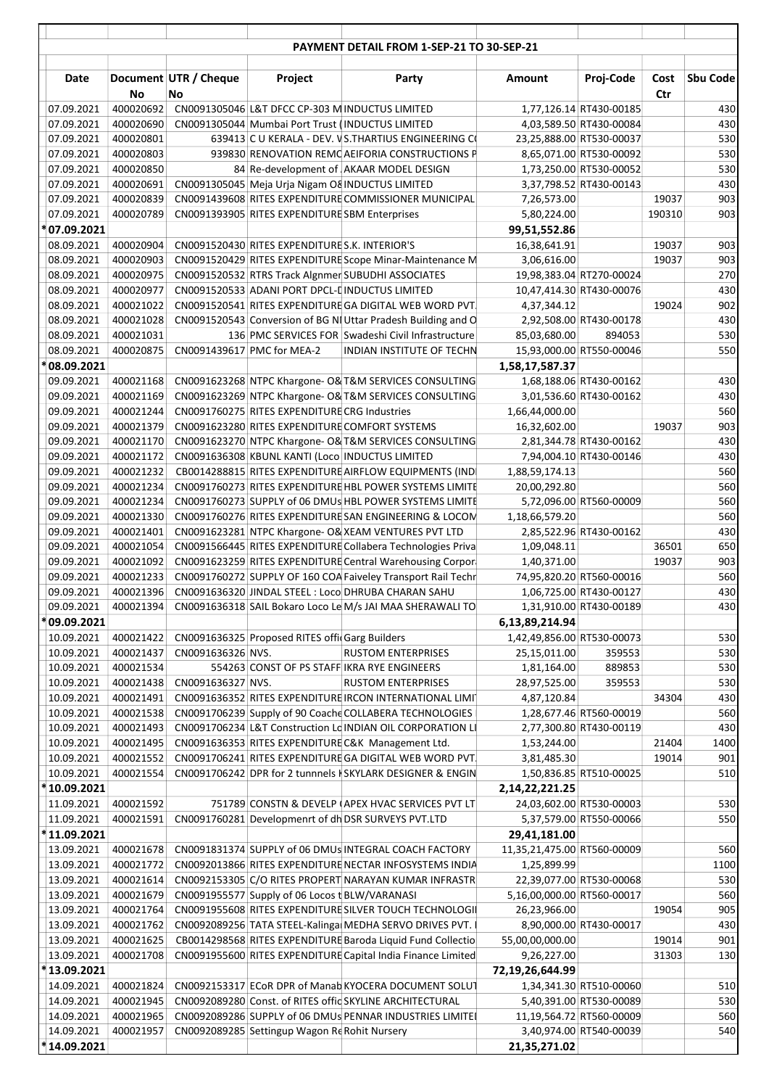|                          |                        |                             |                                                 | PAYMENT DETAIL FROM 1-SEP-21 TO 30-SEP-21                                                                          |                                |                                                    |             |             |
|--------------------------|------------------------|-----------------------------|-------------------------------------------------|--------------------------------------------------------------------------------------------------------------------|--------------------------------|----------------------------------------------------|-------------|-------------|
|                          |                        |                             |                                                 |                                                                                                                    |                                |                                                    |             |             |
| Date                     | No                     | Document UTR / Cheque<br>No | Project                                         | Party                                                                                                              | Amount                         | Proj-Code                                          | Cost<br>Ctr | Sbu Code    |
| 07.09.2021               | 400020692              |                             | CN0091305046 L&T DFCC CP-303 M INDUCTUS LIMITED |                                                                                                                    |                                | 1,77,126.14 RT430-00185                            |             | 430         |
| 07.09.2021               | 400020690              |                             |                                                 | CN0091305044 Mumbai Port Trust (INDUCTUS LIMITED                                                                   |                                | 4,03,589.50 RT430-00084                            |             | 430         |
| 07.09.2021               | 400020801              |                             |                                                 | 639413 C U KERALA - DEV. VS.THARTIUS ENGINEERING CO                                                                |                                | 23,25,888.00 RT530-00037                           |             | 530         |
| 07.09.2021               | 400020803              |                             |                                                 | 939830 RENOVATION REMO AEIFORIA CONSTRUCTIONS P                                                                    |                                | 8,65,071.00 RT530-00092                            |             | 530         |
| 07.09.2021               | 400020850              |                             |                                                 | 84 Re-development of AKAAR MODEL DESIGN                                                                            |                                | 1,73,250.00 RT530-00052                            |             | 530         |
| 07.09.2021<br>07.09.2021 | 400020691<br>400020839 |                             |                                                 | CN0091305045 Meja Urja Nigam O& INDUCTUS LIMITED<br>CN0091439608 RITES EXPENDITURE COMMISSIONER MUNICIPAL          |                                | 3,37,798.52 RT430-00143                            | 19037       | 430<br>903  |
| 07.09.2021               | 400020789              |                             | CN0091393905 RITES EXPENDITURE SBM Enterprises  |                                                                                                                    | 7,26,573.00<br>5,80,224.00     |                                                    | 190310      | 903         |
| * 07.09.2021             |                        |                             |                                                 |                                                                                                                    | 99,51,552.86                   |                                                    |             |             |
| 08.09.2021               | 400020904              |                             | CN0091520430 RITES EXPENDITURE S.K. INTERIOR'S  |                                                                                                                    | 16,38,641.91                   |                                                    | 19037       | 903         |
| 08.09.2021               | 400020903              |                             |                                                 | CN0091520429 RITES EXPENDITURE Scope Minar-Maintenance M                                                           | 3,06,616.00                    |                                                    | 19037       | 903         |
| 08.09.2021               | 400020975              |                             |                                                 | CN0091520532 RTRS Track Algnmer SUBUDHI ASSOCIATES                                                                 |                                | 19,98,383.04 RT270-00024                           |             | 270         |
| 08.09.2021               | 400020977              |                             |                                                 | CN0091520533 ADANI PORT DPCL-[INDUCTUS LIMITED                                                                     |                                | 10,47,414.30 RT430-00076                           |             | 430         |
| 08.09.2021               | 400021022              |                             |                                                 | CN0091520541 RITES EXPENDITURE GA DIGITAL WEB WORD PVT.                                                            | 4,37,344.12                    |                                                    | 19024       | 902         |
| 08.09.2021               | 400021028              |                             |                                                 | CN0091520543 Conversion of BG NI Uttar Pradesh Building and O                                                      |                                | 2,92,508.00 RT430-00178                            |             | 430         |
| 08.09.2021               | 400021031              |                             |                                                 | 136 PMC SERVICES FOR Swadeshi Civil Infrastructure                                                                 | 85,03,680.00                   | 894053                                             |             | 530         |
| 08.09.2021               | 400020875              |                             | CN0091439617 PMC for MEA-2                      | <b>INDIAN INSTITUTE OF TECHN</b>                                                                                   |                                | 15,93,000.00 RT550-00046                           |             | 550         |
| 08.09.2021               |                        |                             |                                                 |                                                                                                                    | 1,58,17,587.37                 |                                                    |             |             |
| 09.09.2021               | 400021168              |                             |                                                 | CN0091623268 NTPC Khargone- O& T&M SERVICES CONSULTING                                                             |                                | 1,68,188.06 RT430-00162                            |             | 430         |
| 09.09.2021               | 400021169              |                             |                                                 | CN0091623269 NTPC Khargone- O& T&M SERVICES CONSULTING                                                             |                                | 3,01,536.60 RT430-00162                            |             | 430         |
| 09.09.2021               | 400021244              |                             | CN0091760275 RITES EXPENDITURE CRG Industries   |                                                                                                                    | 1,66,44,000.00                 |                                                    |             | 560         |
| 09.09.2021               | 400021379              |                             |                                                 | CN0091623280 RITES EXPENDITURE COMFORT SYSTEMS                                                                     | 16,32,602.00                   |                                                    | 19037       | 903         |
| 09.09.2021               | 400021170              |                             |                                                 | CN0091623270 NTPC Khargone- O& T&M SERVICES CONSULTING                                                             |                                | 2,81,344.78 RT430-00162                            |             | 430         |
| 09.09.2021               | 400021172              |                             |                                                 | CN0091636308 KBUNL KANTI (Loco INDUCTUS LIMITED                                                                    |                                | 7,94,004.10 RT430-00146                            |             | 430         |
| 09.09.2021<br>09.09.2021 | 400021232<br>400021234 |                             |                                                 | CB0014288815 RITES EXPENDITURE AIRFLOW EQUIPMENTS (IND)<br>CN0091760273 RITES EXPENDITURE HBL POWER SYSTEMS LIMITE | 1,88,59,174.13<br>20,00,292.80 |                                                    |             | 560<br>560  |
| 09.09.2021               | 400021234              |                             |                                                 | CN0091760273 SUPPLY of 06 DMUs HBL POWER SYSTEMS LIMITE                                                            |                                | 5,72,096.00 RT560-00009                            |             | 560         |
| 09.09.2021               | 400021330              |                             |                                                 | CN0091760276 RITES EXPENDITURE SAN ENGINEERING & LOCOM                                                             | 1,18,66,579.20                 |                                                    |             | 560         |
| 09.09.2021               | 400021401              |                             |                                                 | CN0091623281 NTPC Khargone- O& XEAM VENTURES PVT LTD                                                               |                                | 2,85,522.96 RT430-00162                            |             | 430         |
| 09.09.2021               | 400021054              |                             |                                                 | CN0091566445 RITES EXPENDITURE Collabera Technologies Priva                                                        | 1,09,048.11                    |                                                    | 36501       | 650         |
| 09.09.2021               | 400021092              |                             |                                                 | CN0091623259 RITES EXPENDITURE Central Warehousing Corpor                                                          | 1,40,371.00                    |                                                    | 19037       | 903         |
| 09.09.2021               | 400021233              |                             |                                                 | CN0091760272 SUPPLY OF 160 COA Faiveley Transport Rail Techn                                                       |                                | 74,95,820.20 RT560-00016                           |             | 560         |
| 09.09.2021               | 400021396              |                             |                                                 | CN0091636320 JINDAL STEEL : Loco DHRUBA CHARAN SAHU                                                                |                                | 1,06,725.00 RT430-00127                            |             | 430         |
| 09.09.2021               | 400021394              |                             |                                                 | CN0091636318 SAIL Bokaro Loco Le M/s JAI MAA SHERAWALI TO                                                          |                                | 1,31,910.00 RT430-00189                            |             | 430         |
| * 09.09.2021             |                        |                             |                                                 |                                                                                                                    | 6,13,89,214.94                 |                                                    |             |             |
| 10.09.2021               | 400021422              |                             | CN0091636325 Proposed RITES offic Garg Builders |                                                                                                                    | 1,42,49,856.00 RT530-00073     |                                                    |             | 530         |
| 10.09.2021               | 400021437              | CN0091636326 NVS.           |                                                 | <b>RUSTOM ENTERPRISES</b>                                                                                          | 25,15,011.00                   | 359553                                             |             | 530         |
| 10.09.2021               | 400021534              |                             |                                                 | 554263 CONST OF PS STAFF IKRA RYE ENGINEERS                                                                        | 1,81,164.00                    | 889853                                             |             | 530         |
| 10.09.2021               | 400021438              | CN0091636327 NVS.           |                                                 | <b>RUSTOM ENTERPRISES</b>                                                                                          | 28,97,525.00                   | 359553                                             |             | 530         |
| 10.09.2021               | 400021491              |                             |                                                 | CN0091636352 RITES EXPENDITURE IRCON INTERNATIONAL LIMIT                                                           | 4,87,120.84                    |                                                    | 34304       | 430         |
| 10.09.2021               | 400021538              |                             |                                                 | CN0091706239 Supply of 90 Coache COLLABERA TECHNOLOGIES                                                            |                                | 1,28,677.46 RT560-00019                            |             | 560         |
| 10.09.2021               | 400021493<br>400021495 |                             |                                                 | CN0091706234 L&T Construction Ld INDIAN OIL CORPORATION LI                                                         |                                | 2,77,300.80 RT430-00119                            | 21404       | 430<br>1400 |
| 10.09.2021<br>10.09.2021 | 400021552              |                             |                                                 | CN0091636353 RITES EXPENDITURE C&K Management Ltd.<br>CN0091706241 RITES EXPENDITURE GA DIGITAL WEB WORD PVT.      | 1,53,244.00<br>3,81,485.30     |                                                    | 19014       | 901         |
| 10.09.2021               | 400021554              |                             |                                                 | CN0091706242 DPR for 2 tunnnels KSKYLARK DESIGNER & ENGIN                                                          |                                | 1,50,836.85 RT510-00025                            |             | 510         |
| *10.09.2021              |                        |                             |                                                 |                                                                                                                    | 2,14,22,221.25                 |                                                    |             |             |
| 11.09.2021               | 400021592              |                             |                                                 | 751789 CONSTN & DEVELP (APEX HVAC SERVICES PVT LT                                                                  |                                | 24,03,602.00 RT530-00003                           |             | 530         |
| 11.09.2021               | 400021591              |                             |                                                 | CN0091760281 Developmenrt of dh DSR SURVEYS PVT.LTD                                                                |                                | 5,37,579.00 RT550-00066                            |             | 550         |
| *11.09.2021              |                        |                             |                                                 |                                                                                                                    | 29,41,181.00                   |                                                    |             |             |
| 13.09.2021               | 400021678              |                             |                                                 | CN0091831374 SUPPLY of 06 DMUs INTEGRAL COACH FACTORY                                                              | 11,35,21,475.00 RT560-00009    |                                                    |             | 560         |
| 13.09.2021               | 400021772              |                             |                                                 | CN0092013866 RITES EXPENDITURE NECTAR INFOSYSTEMS INDIA                                                            | 1,25,899.99                    |                                                    |             | 1100        |
| 13.09.2021               | 400021614              |                             |                                                 | CN0092153305 C/O RITES PROPERT NARAYAN KUMAR INFRASTR                                                              |                                | 22,39,077.00 RT530-00068                           |             | 530         |
| 13.09.2021               | 400021679              |                             | CN0091955577 Supply of 06 Locos t BLW/VARANASI  |                                                                                                                    | 5,16,00,000.00 RT560-00017     |                                                    |             | 560         |
| 13.09.2021               | 400021764              |                             |                                                 | CN0091955608 RITES EXPENDITURE SILVER TOUCH TECHNOLOGII                                                            | 26,23,966.00                   |                                                    | 19054       | 905         |
| 13.09.2021               | 400021762              |                             |                                                 | CN0092089256 TATA STEEL-Kalinga MEDHA SERVO DRIVES PVT. I                                                          |                                | 8,90,000.00 RT430-00017                            |             | 430         |
| 13.09.2021               | 400021625              |                             |                                                 | CB0014298568 RITES EXPENDITURE Baroda Liquid Fund Collectio                                                        | 55,00,00,000.00                |                                                    | 19014       | 901         |
| 13.09.2021               | 400021708              |                             |                                                 | CN0091955600 RITES EXPENDITURE Capital India Finance Limited                                                       | 9,26,227.00                    |                                                    | 31303       | 130         |
| * 13.09.2021             |                        |                             |                                                 |                                                                                                                    | 72,19,26,644.99                |                                                    |             |             |
| 14.09.2021<br>14.09.2021 | 400021824<br>400021945 |                             |                                                 | CN0092153317 ECoR DPR of Manab KYOCERA DOCUMENT SOLUT<br>CN0092089280 Const. of RITES offic SKYLINE ARCHITECTURAL  |                                | 1,34,341.30 RT510-00060<br>5,40,391.00 RT530-00089 |             | 510<br>530  |
| 14.09.2021               | 400021965              |                             |                                                 | CN0092089286 SUPPLY of 06 DMUs PENNAR INDUSTRIES LIMITED                                                           |                                | 11,19,564.72 RT560-00009                           |             | 560         |
| 14.09.2021               | 400021957              |                             | CN0092089285 Settingup Wagon Re Rohit Nursery   |                                                                                                                    |                                | 3,40,974.00 RT540-00039                            |             | 540         |
| *14.09.2021              |                        |                             |                                                 |                                                                                                                    | 21,35,271.02                   |                                                    |             |             |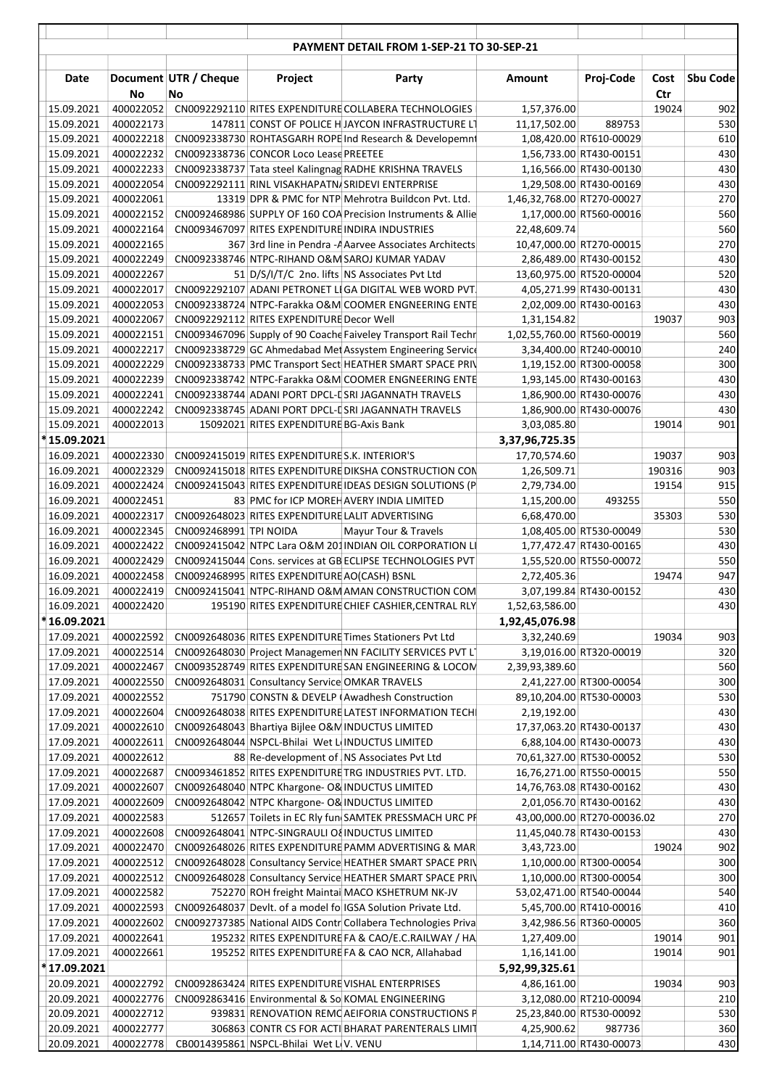|                          |                        |                             |                                                   | PAYMENT DETAIL FROM 1-SEP-21 TO 30-SEP-21                                                                        |                            |                                                     |             |                 |
|--------------------------|------------------------|-----------------------------|---------------------------------------------------|------------------------------------------------------------------------------------------------------------------|----------------------------|-----------------------------------------------------|-------------|-----------------|
| Date                     | No                     | Document UTR / Cheque<br>No | Project                                           | Party                                                                                                            | Amount                     | Proj-Code                                           | Cost<br>Ctr | <b>Sbu Code</b> |
| 15.09.2021               | 400022052              |                             |                                                   | CN0092292110 RITES EXPENDITURE COLLABERA TECHNOLOGIES                                                            | 1,57,376.00                |                                                     | 19024       | 902             |
| 15.09.2021               | 400022173              |                             |                                                   | 147811 CONST OF POLICE H JAYCON INFRASTRUCTURE LT                                                                | 11,17,502.00               | 889753                                              |             | 530             |
| 15.09.2021               | 400022218              |                             |                                                   | CN0092338730 ROHTASGARH ROPE Ind Research & Developemnt                                                          |                            | 1,08,420.00 RT610-00029                             |             | 610             |
| 15.09.2021               | 400022232              |                             | CN0092338736 CONCOR Loco Lease PREETEE            |                                                                                                                  |                            | 1,56,733.00 RT430-00151                             |             | 430             |
| 15.09.2021               | 400022233              |                             |                                                   | CN0092338737 Tata steel Kalingnag RADHE KRISHNA TRAVELS                                                          |                            | 1,16,566.00 RT430-00130                             |             | 430             |
| 15.09.2021               | 400022054              |                             |                                                   | CN0092292111 RINL VISAKHAPATN/SRIDEVI ENTERPRISE                                                                 |                            | 1,29,508.00 RT430-00169                             |             | 430             |
| 15.09.2021               | 400022061              |                             |                                                   | 13319 DPR & PMC for NTP Mehrotra Buildcon Pvt. Ltd.                                                              | 1,46,32,768.00 RT270-00027 |                                                     |             | 270<br>560      |
| 15.09.2021<br>15.09.2021 | 400022152<br>400022164 |                             |                                                   | CN0092468986 SUPPLY OF 160 COA Precision Instruments & Allie<br>CN0093467097 RITES EXPENDITURE INDIRA INDUSTRIES | 22,48,609.74               | 1,17,000.00 RT560-00016                             |             | 560             |
| 15.09.2021               | 400022165              |                             |                                                   | 367 3rd line in Pendra - A Aarvee Associates Architects                                                          |                            | 10,47,000.00 RT270-00015                            |             | 270             |
| 15.09.2021               | 400022249              |                             |                                                   | CN0092338746 NTPC-RIHAND O&M SAROJ KUMAR YADAV                                                                   |                            | 2,86,489.00 RT430-00152                             |             | 430             |
| 15.09.2021               | 400022267              |                             |                                                   | 51 D/S/I/T/C 2no. lifts NS Associates Pvt Ltd                                                                    |                            | 13,60,975.00 RT520-00004                            |             | 520             |
| 15.09.2021               | 400022017              |                             |                                                   | CN0092292107 ADANI PETRONET LI GA DIGITAL WEB WORD PVT.                                                          |                            | 4,05,271.99 RT430-00131                             |             | 430             |
| 15.09.2021               | 400022053              |                             |                                                   | CN0092338724 NTPC-Farakka O&M COOMER ENGNEERING ENTE                                                             |                            | 2,02,009.00 RT430-00163                             |             | 430             |
| 15.09.2021               | 400022067              |                             | CN0092292112 RITES EXPENDITURE Decor Well         |                                                                                                                  | 1,31,154.82                |                                                     | 19037       | 903             |
| 15.09.2021               | 400022151              |                             |                                                   | CN0093467096 Supply of 90 Coache Faiveley Transport Rail Techn                                                   | 1,02,55,760.00 RT560-00019 |                                                     |             | 560             |
| 15.09.2021               | 400022217              |                             |                                                   | CN0092338729 GC Ahmedabad Met Assystem Engineering Service                                                       |                            | 3,34,400.00 RT240-00010                             |             | 240             |
| 15.09.2021               | 400022229              |                             |                                                   | CN0092338733 PMC Transport Sect HEATHER SMART SPACE PRIV                                                         |                            | 1,19,152.00 RT300-00058                             |             | 300             |
| 15.09.2021               | 400022239              |                             |                                                   | CN0092338742 NTPC-Farakka O&M COOMER ENGNEERING ENTE                                                             |                            | 1,93,145.00 RT430-00163                             |             | 430             |
| 15.09.2021               | 400022241              |                             |                                                   | CN0092338744 ADANI PORT DPCL-LSRI JAGANNATH TRAVELS                                                              |                            | 1,86,900.00 RT430-00076                             |             | 430             |
| 15.09.2021               | 400022242              |                             |                                                   | CN0092338745 ADANI PORT DPCL-LSRI JAGANNATH TRAVELS                                                              |                            | 1,86,900.00 RT430-00076                             |             | 430             |
| 15.09.2021               | 400022013              |                             | 15092021 RITES EXPENDITURE BG-Axis Bank           |                                                                                                                  | 3,03,085.80                |                                                     | 19014       | 901             |
| *15.09.2021              |                        |                             |                                                   |                                                                                                                  | 3,37,96,725.35             |                                                     |             |                 |
| 16.09.2021               | 400022330              |                             | CN0092415019 RITES EXPENDITURE S.K. INTERIOR'S    |                                                                                                                  | 17,70,574.60               |                                                     | 19037       | 903             |
| 16.09.2021               | 400022329              |                             |                                                   | CN0092415018 RITES EXPENDITURE DIKSHA CONSTRUCTION CON                                                           | 1,26,509.71                |                                                     | 190316      | 903             |
| 16.09.2021               | 400022424              |                             |                                                   | CN0092415043 RITES EXPENDITURE IDEAS DESIGN SOLUTIONS (P                                                         | 2,79,734.00                |                                                     | 19154       | 915             |
| 16.09.2021<br>16.09.2021 | 400022451<br>400022317 |                             | CN0092648023 RITES EXPENDITURE LALIT ADVERTISING  | 83 PMC for ICP MOREH AVERY INDIA LIMITED                                                                         | 1,15,200.00<br>6,68,470.00 | 493255                                              | 35303       | 550<br>530      |
| 16.09.2021               | 400022345              | CN0092468991 TPI NOIDA      |                                                   | Mayur Tour & Travels                                                                                             |                            | 1,08,405.00 RT530-00049                             |             | 530             |
| 16.09.2021               | 400022422              |                             |                                                   | CN0092415042 NTPC Lara O&M 201 INDIAN OIL CORPORATION LI                                                         |                            | 1,77,472.47 RT430-00165                             |             | 430             |
| 16.09.2021               | 400022429              |                             |                                                   | CN0092415044 Cons. services at GB ECLIPSE TECHNOLOGIES PVT                                                       |                            | 1,55,520.00 RT550-00072                             |             | 550             |
| 16.09.2021               | 400022458              |                             | CN0092468995 RITES EXPENDITURE AO(CASH) BSNL      |                                                                                                                  | 2,72,405.36                |                                                     | 19474       | 947             |
| 16.09.2021               | 400022419              |                             |                                                   | CN0092415041 NTPC-RIHAND O&M AMAN CONSTRUCTION COM                                                               |                            | 3,07,199.84 RT430-00152                             |             | 430             |
| 16.09.2021               | 400022420              |                             |                                                   | 195190 RITES EXPENDITURE CHIEF CASHIER, CENTRAL RLY                                                              | 1,52,63,586.00             |                                                     |             | 430             |
| *16.09.2021              |                        |                             |                                                   |                                                                                                                  | 1,92,45,076.98             |                                                     |             |                 |
| 17.09.2021               | 400022592              |                             |                                                   | CN0092648036 RITES EXPENDITURE Times Stationers Pvt Ltd                                                          | 3,32,240.69                |                                                     | 19034       | 903             |
| 17.09.2021               | 400022514              |                             |                                                   | CN0092648030 Project Managemen NN FACILITY SERVICES PVT L                                                        |                            | 3,19,016.00 RT320-00019                             |             | 320             |
| 17.09.2021               | 400022467              |                             |                                                   | CN0093528749 RITES EXPENDITURE SAN ENGINEERING & LOCOM                                                           | 2,39,93,389.60             |                                                     |             | 560             |
| 17.09.2021               | 400022550              |                             | CN0092648031 Consultancy Service OMKAR TRAVELS    |                                                                                                                  |                            | 2,41,227.00 RT300-00054                             |             | 300             |
| 17.09.2021               | 400022552              |                             |                                                   | 751790 CONSTN & DEVELP (Awadhesh Construction                                                                    |                            | 89,10,204.00 RT530-00003                            |             | 530             |
| 17.09.2021               | 400022604              |                             |                                                   | CN0092648038 RITES EXPENDITURE LATEST INFORMATION TECHI                                                          | 2,19,192.00                |                                                     |             | 430             |
| 17.09.2021<br>17.09.2021 | 400022610              |                             | CN0092648043 Bhartiya Bijlee O&N INDUCTUS LIMITED | CN0092648044 NSPCL-Bhilai Wet LiNDUCTUS LIMITED                                                                  |                            | 17,37,063.20 RT430-00137                            |             | 430             |
| 17.09.2021               | 400022611<br>400022612 |                             |                                                   | 88 Re-development of NS Associates Pvt Ltd                                                                       |                            | 6,88,104.00 RT430-00073<br>70,61,327.00 RT530-00052 |             | 430<br>530      |
| 17.09.2021               | 400022687              |                             |                                                   | CN0093461852 RITES EXPENDITURE TRG INDUSTRIES PVT. LTD.                                                          |                            | 16,76,271.00 RT550-00015                            |             | 550             |
| 17.09.2021               | 400022607              |                             | CN0092648040 NTPC Khargone- O& INDUCTUS LIMITED   |                                                                                                                  |                            | 14,76,763.08 RT430-00162                            |             | 430             |
| 17.09.2021               | 400022609              |                             | CN0092648042 NTPC Khargone- O& INDUCTUS LIMITED   |                                                                                                                  |                            | 2,01,056.70 RT430-00162                             |             | 430             |
| 17.09.2021               | 400022583              |                             |                                                   | 512657 Toilets in EC Rly fun SAMTEK PRESSMACH URC PF                                                             |                            | 43,00,000.00 RT270-00036.02                         |             | 270             |
| 17.09.2021               | 400022608              |                             | CN0092648041 NTPC-SINGRAULI O{ INDUCTUS LIMITED   |                                                                                                                  |                            | 11,45,040.78 RT430-00153                            |             | 430             |
| 17.09.2021               | 400022470              |                             |                                                   | CN0092648026 RITES EXPENDITURE PAMM ADVERTISING & MAR                                                            | 3,43,723.00                |                                                     | 19024       | 902             |
| 17.09.2021               | 400022512              |                             |                                                   | CN0092648028 Consultancy Service HEATHER SMART SPACE PRIV                                                        |                            | 1,10,000.00 RT300-00054                             |             | 300             |
| 17.09.2021               | 400022512              |                             |                                                   | CN0092648028 Consultancy Service HEATHER SMART SPACE PRIV                                                        |                            | 1,10,000.00 RT300-00054                             |             | 300             |
| 17.09.2021               | 400022582              |                             |                                                   | 752270 ROH freight Maintai MACO KSHETRUM NK-JV                                                                   |                            | 53,02,471.00 RT540-00044                            |             | 540             |
| 17.09.2021               | 400022593              |                             |                                                   | CN0092648037 Devlt. of a model fo IGSA Solution Private Ltd.                                                     |                            | 5,45,700.00 RT410-00016                             |             | 410             |
| 17.09.2021               | 400022602              |                             |                                                   | CN0092737385 National AIDS Contr Collabera Technologies Priva                                                    |                            | 3,42,986.56 RT360-00005                             |             | 360             |
| 17.09.2021               | 400022641              |                             |                                                   | 195232 RITES EXPENDITURE FA & CAO/E.C.RAILWAY / HA                                                               | 1,27,409.00                |                                                     | 19014       | 901             |
| 17.09.2021               | 400022661              |                             |                                                   | 195252 RITES EXPENDITURE FA & CAO NCR, Allahabad                                                                 | 1,16,141.00                |                                                     | 19014       | 901             |
| *17.09.2021              |                        |                             |                                                   |                                                                                                                  | 5,92,99,325.61             |                                                     |             |                 |
| 20.09.2021               | 400022792              |                             |                                                   | CN0092863424 RITES EXPENDITURE VISHAL ENTERPRISES                                                                | 4,86,161.00                |                                                     | 19034       | 903             |
| 20.09.2021<br>20.09.2021 | 400022776<br>400022712 |                             |                                                   | CN0092863416 Environmental & So KOMAL ENGINEERING                                                                |                            | 3,12,080.00 RT210-00094                             |             | 210<br>530      |
| 20.09.2021               | 400022777              |                             |                                                   | 939831 RENOVATION REMOAEIFORIA CONSTRUCTIONS P<br>306863 CONTR CS FOR ACTI BHARAT PARENTERALS LIMIT              | 4,25,900.62                | 25,23,840.00 RT530-00092<br>987736                  |             | 360             |
| 20.09.2021               | 400022778              |                             | CB0014395861 NSPCL-Bhilai Wet L(V. VENU           |                                                                                                                  |                            | 1,14,711.00 RT430-00073                             |             | 430             |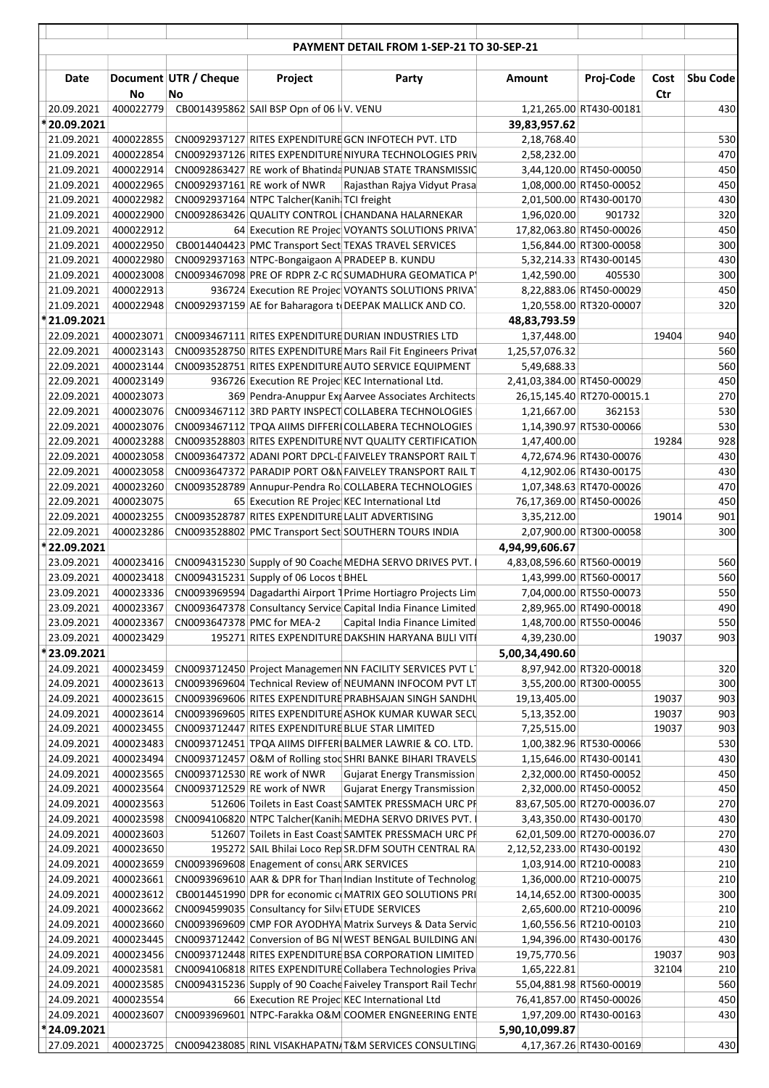|                           |                        |                             |                                                  | PAYMENT DETAIL FROM 1-SEP-21 TO 30-SEP-21                                                                       |                                              |                                                     |                |            |
|---------------------------|------------------------|-----------------------------|--------------------------------------------------|-----------------------------------------------------------------------------------------------------------------|----------------------------------------------|-----------------------------------------------------|----------------|------------|
| Date                      | No                     | Document UTR / Cheque<br>No | Project                                          | Party                                                                                                           | Amount                                       | Proj-Code                                           | Cost<br>Ctr    | Sbu Code   |
| 20.09.2021                | 400022779              |                             | CB0014395862 SAII BSP Opn of 06 I V. VENU        |                                                                                                                 |                                              | 1,21,265.00 RT430-00181                             |                | 430        |
| *20.09.2021               |                        |                             |                                                  |                                                                                                                 | 39,83,957.62                                 |                                                     |                |            |
| 21.09.2021                | 400022855              |                             |                                                  | CN0092937127 RITES EXPENDITURE GCN INFOTECH PVT. LTD                                                            | 2,18,768.40                                  |                                                     |                | 530        |
| 21.09.2021                | 400022854              |                             |                                                  | CN0092937126 RITES EXPENDITURE NIYURA TECHNOLOGIES PRIV                                                         | 2,58,232.00                                  |                                                     |                | 470        |
| 21.09.2021                | 400022914              |                             |                                                  | CN0092863427 RE work of Bhatinda PUNJAB STATE TRANSMISSIO                                                       |                                              | 3,44,120.00 RT450-00050                             |                | 450        |
| 21.09.2021                | 400022965              |                             | CN0092937161 RE work of NWR                      | Rajasthan Rajya Vidyut Prasa                                                                                    |                                              | 1,08,000.00 RT450-00052                             |                | 450        |
| 21.09.2021                | 400022982              |                             | CN0092937164 NTPC Talcher (Kanih TCI freight     |                                                                                                                 |                                              | 2,01,500.00 RT430-00170                             |                | 430        |
| 21.09.2021<br>21.09.2021  | 400022900<br>400022912 |                             |                                                  | CN0092863426 QUALITY CONTROL CHANDANA HALARNEKAR                                                                | 1,96,020.00                                  | 901732<br>17,82,063.80 RT450-00026                  |                | 320<br>450 |
| 21.09.2021                | 400022950              |                             |                                                  | 64 Execution RE Projec VOYANTS SOLUTIONS PRIVAT<br>CB0014404423 PMC Transport Sect TEXAS TRAVEL SERVICES        |                                              | 1,56,844.00 RT300-00058                             |                | 300        |
| 21.09.2021                | 400022980              |                             |                                                  | CN0092937163 NTPC-Bongaigaon A PRADEEP B. KUNDU                                                                 |                                              | 5,32,214.33 RT430-00145                             |                | 430        |
| 21.09.2021                | 400023008              |                             |                                                  | CN0093467098 PRE OF RDPR Z-C ROSUMADHURA GEOMATICA PY                                                           | 1,42,590.00                                  | 405530                                              |                | 300        |
| 21.09.2021                | 400022913              |                             |                                                  | 936724 Execution RE Projec VOYANTS SOLUTIONS PRIVAT                                                             |                                              | 8,22,883.06 RT450-00029                             |                | 450        |
| 21.09.2021                | 400022948              |                             |                                                  | CN0092937159 AE for Baharagora to DEEPAK MALLICK AND CO.                                                        |                                              | 1,20,558.00 RT320-00007                             |                | 320        |
| * 21.09.2021              |                        |                             |                                                  |                                                                                                                 | 48,83,793.59                                 |                                                     |                |            |
| 22.09.2021                | 400023071              |                             |                                                  | CN0093467111 RITES EXPENDITURE DURIAN INDUSTRIES LTD                                                            | 1,37,448.00                                  |                                                     | 19404          | 940        |
| 22.09.2021                | 400023143              |                             |                                                  | CN0093528750 RITES EXPENDITURE Mars Rail Fit Engineers Privat                                                   | 1,25,57,076.32                               |                                                     |                | 560        |
| 22.09.2021                | 400023144              |                             |                                                  | CN0093528751 RITES EXPENDITURE AUTO SERVICE EQUIPMENT                                                           | 5,49,688.33                                  |                                                     |                | 560        |
| 22.09.2021<br>22.09.2021  | 400023149<br>400023073 |                             |                                                  | 936726 Execution RE Projec KEC International Ltd.<br>369 Pendra-Anuppur Exp Aarvee Associates Architects        | 2,41,03,384.00 RT450-00029                   | 26,15,145.40 RT270-00015.1                          |                | 450<br>270 |
| 22.09.2021                | 400023076              |                             |                                                  | CN0093467112 3RD PARTY INSPECT COLLABERA TECHNOLOGIES                                                           | 1,21,667.00                                  | 362153                                              |                | 530        |
| 22.09.2021                | 400023076              |                             |                                                  | CN0093467112 TPQA AIIMS DIFFERICOLLABERA TECHNOLOGIES                                                           |                                              | 1,14,390.97 RT530-00066                             |                | 530        |
| 22.09.2021                | 400023288              |                             |                                                  | CN0093528803 RITES EXPENDITURE NVT QUALITY CERTIFICATION                                                        | 1,47,400.00                                  |                                                     | 19284          | 928        |
| 22.09.2021                | 400023058              |                             |                                                  | CN0093647372 ADANI PORT DPCL-L FAIVELEY TRANSPORT RAIL T                                                        |                                              | 4,72,674.96 RT430-00076                             |                | 430        |
| 22.09.2021                | 400023058              |                             |                                                  | CN0093647372 PARADIP PORT O&N FAIVELEY TRANSPORT RAIL T                                                         |                                              | 4,12,902.06 RT430-00175                             |                | 430        |
| 22.09.2021                | 400023260              |                             |                                                  | CN0093528789 Annupur-Pendra Ro COLLABERA TECHNOLOGIES                                                           |                                              | 1,07,348.63 RT470-00026                             |                | 470        |
| 22.09.2021                | 400023075              |                             |                                                  | 65 Execution RE Projec KEC International Ltd                                                                    |                                              | 76,17,369.00 RT450-00026                            |                | 450        |
| 22.09.2021                | 400023255              |                             |                                                  | CN0093528787 RITES EXPENDITURE LALIT ADVERTISING                                                                | 3,35,212.00                                  |                                                     | 19014          | 901        |
| 22.09.2021                | 400023286              |                             |                                                  | CN0093528802 PMC Transport Sect SOUTHERN TOURS INDIA                                                            |                                              | 2,07,900.00 RT300-00058                             |                | 300        |
| *22.09.2021<br>23.09.2021 | 400023416              |                             |                                                  | CN0094315230 Supply of 90 Coache MEDHA SERVO DRIVES PVT. I                                                      | 4,94,99,606.67<br>4,83,08,596.60 RT560-00019 |                                                     |                | 560        |
| 23.09.2021                | 400023418              |                             | CN0094315231 Supply of 06 Locos t BHEL           |                                                                                                                 |                                              | 1,43,999.00 RT560-00017                             |                | 560        |
| 23.09.2021                | 400023336              |                             |                                                  | CN0093969594 Dagadarthi Airport 1 Prime Hortiagro Projects Lim                                                  |                                              | 7,04,000.00 RT550-00073                             |                | 550        |
| 23.09.2021                | 400023367              |                             |                                                  | CN0093647378 Consultancy Service Capital India Finance Limited                                                  |                                              | 2,89,965.00 RT490-00018                             |                | 490        |
| 23.09.2021                | 400023367              |                             | CN0093647378 PMC for MEA-2                       | Capital India Finance Limited                                                                                   |                                              | 1,48,700.00 RT550-00046                             |                | 550        |
| 23.09.2021                | 400023429              |                             |                                                  | 195271 RITES EXPENDITURE DAKSHIN HARYANA BIJLI VITI                                                             | 4,39,230.00                                  |                                                     | 19037          | 903        |
| *23.09.2021               |                        |                             |                                                  |                                                                                                                 | 5,00,34,490.60                               |                                                     |                |            |
| 24.09.2021                | 400023459              |                             |                                                  | CN0093712450 Project Managemen NN FACILITY SERVICES PVT L1                                                      |                                              | 8,97,942.00 RT320-00018                             |                | 320        |
| 24.09.2021                | 400023613              |                             |                                                  | CN0093969604 Technical Review of NEUMANN INFOCOM PVT LT                                                         |                                              | 3,55,200.00 RT300-00055                             |                | 300        |
| 24.09.2021<br>24.09.2021  | 400023615<br>400023614 |                             |                                                  | CN0093969606 RITES EXPENDITURE PRABHSAJAN SINGH SANDHU<br>CN0093969605 RITES EXPENDITURE ASHOK KUMAR KUWAR SECU | 19,13,405.00<br>5,13,352.00                  |                                                     | 19037<br>19037 | 903<br>903 |
| 24.09.2021                | 400023455              |                             |                                                  | CN0093712447 RITES EXPENDITURE BLUE STAR LIMITED                                                                | 7,25,515.00                                  |                                                     | 19037          | 903        |
| 24.09.2021                | 400023483              |                             |                                                  | CN0093712451 TPQA AIIMS DIFFERIBALMER LAWRIE & CO. LTD.                                                         |                                              | 1,00,382.96 RT530-00066                             |                | 530        |
| 24.09.2021                | 400023494              |                             |                                                  | CN0093712457 O&M of Rolling stoc SHRI BANKE BIHARI TRAVELS                                                      |                                              | 1,15,646.00 RT430-00141                             |                | 430        |
| 24.09.2021                | 400023565              |                             | CN0093712530 RE work of NWR                      | <b>Gujarat Energy Transmission</b>                                                                              |                                              | 2,32,000.00 RT450-00052                             |                | 450        |
| 24.09.2021                | 400023564              |                             | CN0093712529 RE work of NWR                      | <b>Gujarat Energy Transmission</b>                                                                              |                                              | 2,32,000.00 RT450-00052                             |                | 450        |
| 24.09.2021                | 400023563              |                             |                                                  | 512606 Toilets in East Coast SAMTEK PRESSMACH URC PF                                                            |                                              | 83,67,505.00 RT270-00036.07                         |                | 270        |
| 24.09.2021                | 400023598              |                             |                                                  | CN0094106820 NTPC Talcher (Kanih MEDHA SERVO DRIVES PVT. I                                                      |                                              | 3,43,350.00 RT430-00170                             |                | 430        |
| 24.09.2021                | 400023603              |                             |                                                  | 512607 Toilets in East Coast SAMTEK PRESSMACH URC PF                                                            |                                              | 62,01,509.00 RT270-00036.07                         |                | 270        |
| 24.09.2021<br>24.09.2021  | 400023650<br>400023659 |                             | CN0093969608 Enagement of consu ARK SERVICES     | 195272 SAIL Bhilai Loco Rep SR.DFM SOUTH CENTRAL RAI                                                            | 2,12,52,233.00 RT430-00192                   | 1,03,914.00 RT210-00083                             |                | 430<br>210 |
| 24.09.2021                | 400023661              |                             |                                                  | CN0093969610 AAR & DPR for Than Indian Institute of Technolog                                                   |                                              | 1,36,000.00 RT210-00075                             |                | 210        |
| 24.09.2021                | 400023612              |                             |                                                  | CB0014451990 DPR for economic c MATRIX GEO SOLUTIONS PRI                                                        |                                              | 14,14,652.00 RT300-00035                            |                | 300        |
| 24.09.2021                | 400023662              |                             | CN0094599035 Consultancy for Silv ETUDE SERVICES |                                                                                                                 |                                              | 2,65,600.00 RT210-00096                             |                | 210        |
| 24.09.2021                | 400023660              |                             |                                                  | CN0093969609 CMP FOR AYODHYA Matrix Surveys & Data Servic                                                       |                                              | 1,60,556.56 RT210-00103                             |                | 210        |
| 24.09.2021                | 400023445              |                             |                                                  | CN0093712442 Conversion of BG NIWEST BENGAL BUILDING AN                                                         |                                              | 1,94,396.00 RT430-00176                             |                | 430        |
| 24.09.2021                | 400023456              |                             |                                                  | CN0093712448 RITES EXPENDITURE BSA CORPORATION LIMITED                                                          | 19,75,770.56                                 |                                                     | 19037          | 903        |
| 24.09.2021                | 400023581              |                             |                                                  | CN0094106818 RITES EXPENDITURE Collabera Technologies Priva                                                     | 1,65,222.81                                  |                                                     | 32104          | 210        |
| 24.09.2021                | 400023585              |                             |                                                  | CN0094315236 Supply of 90 Coache Faiveley Transport Rail Techn                                                  |                                              | 55,04,881.98 RT560-00019                            |                | 560        |
| 24.09.2021<br>24.09.2021  | 400023554<br>400023607 |                             |                                                  | 66 Execution RE Projec KEC International Ltd<br>CN0093969601 NTPC-Farakka O&M COOMER ENGNEERING ENTE            |                                              | 76,41,857.00 RT450-00026<br>1,97,209.00 RT430-00163 |                | 450<br>430 |
| * 24.09.2021              |                        |                             |                                                  |                                                                                                                 | 5,90,10,099.87                               |                                                     |                |            |
| 27.09.2021                | 400023725              |                             |                                                  | CN0094238085 RINL VISAKHAPATN/T&M SERVICES CONSULTING                                                           |                                              | 4,17,367.26 RT430-00169                             |                | 430        |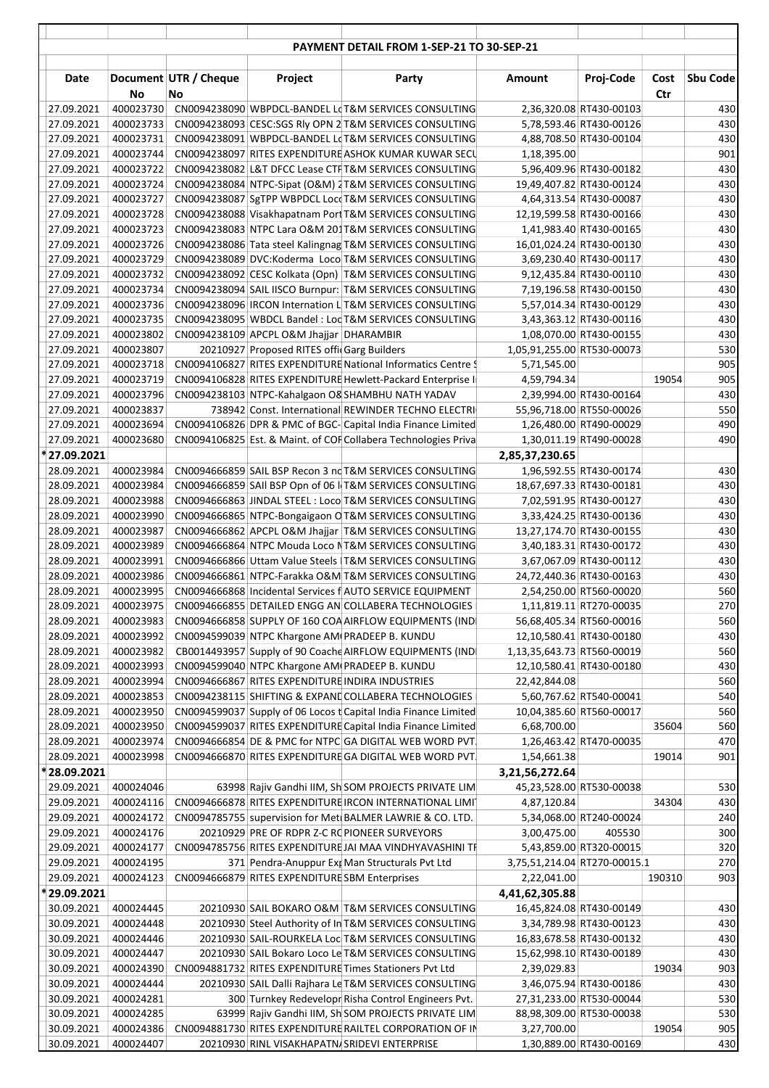|                            |                        |                             |                                                | <b>PAYMENT DETAIL FROM 1-SEP-21 TO 30-SEP-21</b>                                                                     |                              |                                                    |             |                 |
|----------------------------|------------------------|-----------------------------|------------------------------------------------|----------------------------------------------------------------------------------------------------------------------|------------------------------|----------------------------------------------------|-------------|-----------------|
|                            |                        |                             |                                                |                                                                                                                      |                              |                                                    |             |                 |
| Date                       | No                     | Document UTR / Cheque<br>No | Project                                        | Party                                                                                                                | Amount                       | Proj-Code                                          | Cost<br>Ctr | <b>Sbu Code</b> |
| 27.09.2021                 | 400023730              |                             |                                                | CN0094238090 WBPDCL-BANDEL LOT&M SERVICES CONSULTING                                                                 |                              | 2,36,320.08 RT430-00103                            |             | 430             |
| 27.09.2021                 | 400023733              |                             |                                                | CN0094238093 CESC:SGS RIy OPN 2 T&M SERVICES CONSULTING                                                              |                              | 5,78,593.46 RT430-00126                            |             | 430             |
| 27.09.2021                 | 400023731              |                             |                                                | CN0094238091 WBPDCL-BANDEL LOT&M SERVICES CONSULTING                                                                 |                              | 4,88,708.50 RT430-00104                            |             | 430             |
| 27.09.2021<br>27.09.2021   | 400023744<br>400023722 |                             |                                                | CN0094238097 RITES EXPENDITURE ASHOK KUMAR KUWAR SECU<br>CN0094238082 L&T DFCC Lease CTFT&M SERVICES CONSULTING      | 1,18,395.00                  | 5,96,409.96 RT430-00182                            |             | 901<br>430      |
| 27.09.2021                 | 400023724              |                             |                                                | CN0094238084 NTPC-Sipat (O&M) 2T&M SERVICES CONSULTING                                                               |                              | 19,49,407.82 RT430-00124                           |             | 430             |
| 27.09.2021                 | 400023727              |                             |                                                | CN0094238087 SgTPP WBPDCL Locd T&M SERVICES CONSULTING                                                               |                              | 4,64,313.54 RT430-00087                            |             | 430             |
| 27.09.2021                 | 400023728              |                             |                                                | CN0094238088 Visakhapatnam Port T&M SERVICES CONSULTING                                                              |                              | 12,19,599.58 RT430-00166                           |             | 430             |
| 27.09.2021                 | 400023723              |                             |                                                | CN0094238083 NTPC Lara O&M 201T&M SERVICES CONSULTING                                                                |                              | 1,41,983.40 RT430-00165                            |             | 430             |
| 27.09.2021                 | 400023726              |                             |                                                | CN0094238086 Tata steel Kalingnag T&M SERVICES CONSULTING                                                            |                              | 16,01,024.24 RT430-00130                           |             | 430             |
| 27.09.2021                 | 400023729              |                             |                                                | CN0094238089 DVC:Koderma Loco T&M SERVICES CONSULTING                                                                |                              | 3,69,230.40 RT430-00117                            |             | 430             |
| 27.09.2021                 | 400023732              |                             |                                                | CN0094238092 CESC Kolkata (Opn) T&M SERVICES CONSULTING                                                              |                              | 9,12,435.84 RT430-00110                            |             | 430             |
| 27.09.2021<br>27.09.2021   | 400023734<br>400023736 |                             |                                                | CN0094238094 SAIL IISCO Burnpur: T&M SERVICES CONSULTING<br>CN0094238096 IRCON Internation L T&M SERVICES CONSULTING |                              | 7,19,196.58 RT430-00150<br>5,57,014.34 RT430-00129 |             | 430<br>430      |
| 27.09.2021                 | 400023735              |                             |                                                | CN0094238095 WBDCL Bandel: Lod T&M SERVICES CONSULTING                                                               |                              | 3,43,363.12 RT430-00116                            |             | 430             |
| 27.09.2021                 | 400023802              |                             | CN0094238109 APCPL O&M Jhajjar DHARAMBIR       |                                                                                                                      |                              | 1,08,070.00 RT430-00155                            |             | 430             |
| 27.09.2021                 | 400023807              |                             | 20210927 Proposed RITES officGarg Builders     |                                                                                                                      | 1,05,91,255.00 RT530-00073   |                                                    |             | 530             |
| 27.09.2021                 | 400023718              |                             |                                                | CN0094106827 RITES EXPENDITURE National Informatics Centre 9                                                         | 5,71,545.00                  |                                                    |             | 905             |
| 27.09.2021                 | 400023719              |                             |                                                | CN0094106828 RITES EXPENDITURE Hewlett-Packard Enterprise II                                                         | 4,59,794.34                  |                                                    | 19054       | 905             |
| 27.09.2021                 | 400023796              |                             |                                                | CN0094238103 NTPC-Kahalgaon O8 SHAMBHU NATH YADAV                                                                    |                              | 2,39,994.00 RT430-00164                            |             | 430             |
| 27.09.2021                 | 400023837              |                             |                                                | 738942 Const. International REWINDER TECHNO ELECTRI                                                                  |                              | 55,96,718.00 RT550-00026                           |             | 550             |
| 27.09.2021                 | 400023694              |                             |                                                | CN0094106826 DPR & PMC of BGC- Capital India Finance Limited                                                         |                              | 1,26,480.00 RT490-00029                            |             | 490             |
| 27.09.2021<br>* 27.09.2021 | 400023680              |                             |                                                | CN0094106825 Est. & Maint. of COF Collabera Technologies Priva                                                       |                              | 1,30,011.19 RT490-00028                            |             | 490             |
| 28.09.2021                 | 400023984              |                             |                                                | CN0094666859 SAIL BSP Recon 3 nd T&M SERVICES CONSULTING                                                             | 2,85,37,230.65               | 1,96,592.55 RT430-00174                            |             | 430             |
| 28.09.2021                 | 400023984              |                             |                                                | CN0094666859 SAII BSP Opn of 06 IT&M SERVICES CONSULTING                                                             |                              | 18,67,697.33 RT430-00181                           |             | 430             |
| 28.09.2021                 | 400023988              |                             |                                                | CN0094666863 JINDAL STEEL: Loco T&M SERVICES CONSULTING                                                              |                              | 7,02,591.95 RT430-00127                            |             | 430             |
| 28.09.2021                 | 400023990              |                             |                                                | CN0094666865 NTPC-Bongaigaon OT&M SERVICES CONSULTING                                                                |                              | 3,33,424.25 RT430-00136                            |             | 430             |
| 28.09.2021                 | 400023987              |                             |                                                | CN0094666862 APCPL O&M Jhajjar T&M SERVICES CONSULTING                                                               |                              | 13,27,174.70 RT430-00155                           |             | 430             |
| 28.09.2021                 | 400023989              |                             |                                                | CN0094666864 NTPC Mouda Loco NT&M SERVICES CONSULTING                                                                |                              | 3,40,183.31 RT430-00172                            |             | 430             |
| 28.09.2021                 | 400023991              |                             |                                                | CN0094666866 Uttam Value Steels   T&M SERVICES CONSULTING                                                            |                              | 3,67,067.09 RT430-00112                            |             | 430             |
| 28.09.2021                 | 400023986              |                             |                                                | CN0094666861 NTPC-Farakka O&M T&M SERVICES CONSULTING                                                                |                              | 24,72,440.36 RT430-00163                           |             | 430             |
| 28.09.2021<br>28.09.2021   | 400023995<br>400023975 |                             |                                                | CN0094666868 Incidental Services f AUTO SERVICE EQUIPMENT<br>CN0094666855 DETAILED ENGG AN COLLABERA TECHNOLOGIES    |                              | 2,54,250.00 RT560-00020<br>1,11,819.11 RT270-00035 |             | 560<br>270      |
| 28.09.2021                 | 400023983              |                             |                                                | CN0094666858 SUPPLY OF 160 COA AIRFLOW EQUIPMENTS (IND)                                                              |                              | 56,68,405.34 RT560-00016                           |             | 560             |
| 28.09.2021                 | 400023992              |                             |                                                | CN0094599039 NTPC Khargone AM PRADEEP B. KUNDU                                                                       |                              | 12,10,580.41 RT430-00180                           |             | 430             |
| 28.09.2021                 | 400023982              |                             |                                                | CB0014493957 Supply of 90 Coache AIRFLOW EQUIPMENTS (IND)                                                            | 1,13,35,643.73 RT560-00019   |                                                    |             | 560             |
| 28.09.2021                 | 400023993              |                             |                                                | CN0094599040 NTPC Khargone AM PRADEEP B. KUNDU                                                                       |                              | 12,10,580.41 RT430-00180                           |             | 430             |
| 28.09.2021                 | 400023994              |                             |                                                | CN0094666867 RITES EXPENDITURE INDIRA INDUSTRIES                                                                     | 22,42,844.08                 |                                                    |             | 560             |
| 28.09.2021                 | 400023853              |                             |                                                | CN0094238115 SHIFTING & EXPAND COLLABERA TECHNOLOGIES                                                                |                              | 5,60,767.62 RT540-00041                            |             | 540             |
| 28.09.2021                 | 400023950              |                             |                                                | CN0094599037 Supply of 06 Locos t Capital India Finance Limited                                                      |                              | 10,04,385.60 RT560-00017                           |             | 560             |
| 28.09.2021                 | 400023950              |                             |                                                | CN0094599037 RITES EXPENDITURE Capital India Finance Limited                                                         | 6,68,700.00                  |                                                    | 35604       | 560             |
| 28.09.2021<br>28.09.2021   | 400023974<br>400023998 |                             |                                                | CN0094666854 DE & PMC for NTPC GA DIGITAL WEB WORD PVT.<br>CN0094666870 RITES EXPENDITURE GA DIGITAL WEB WORD PVT.   | 1,54,661.38                  | 1,26,463.42 RT470-00035                            | 19014       | 470<br>901      |
| *28.09.2021                |                        |                             |                                                |                                                                                                                      | 3,21,56,272.64               |                                                    |             |                 |
| 29.09.2021                 | 400024046              |                             |                                                | 63998 Rajiv Gandhi IIM, Sh SOM PROJECTS PRIVATE LIM                                                                  |                              | 45,23,528.00 RT530-00038                           |             | 530             |
| 29.09.2021                 | 400024116              |                             |                                                | CN0094666878 RITES EXPENDITURE IRCON INTERNATIONAL LIMIT                                                             | 4,87,120.84                  |                                                    | 34304       | 430             |
| 29.09.2021                 | 400024172              |                             |                                                | CN0094785755 supervision for Met BALMER LAWRIE & CO. LTD.                                                            |                              | 5,34,068.00 RT240-00024                            |             | 240             |
| 29.09.2021                 | 400024176              |                             |                                                | 20210929 PRE OF RDPR Z-C RC PIONEER SURVEYORS                                                                        | 3,00,475.00                  | 405530                                             |             | 300             |
| 29.09.2021                 | 400024177              |                             |                                                | CN0094785756 RITES EXPENDITURE JAI MAA VINDHYAVASHINI TF                                                             |                              | 5,43,859.00 RT320-00015                            |             | 320             |
| 29.09.2021                 | 400024195              |                             |                                                | 371 Pendra-Anuppur Ext Man Structurals Pvt Ltd                                                                       | 3,75,51,214.04 RT270-00015.1 |                                                    |             | 270             |
| 29.09.2021<br>*29.09.2021  | 400024123              |                             | CN0094666879 RITES EXPENDITURE SBM Enterprises |                                                                                                                      | 2,22,041.00                  |                                                    | 190310      | 903             |
| 30.09.2021                 | 400024445              |                             |                                                | 20210930 SAIL BOKARO O&M T&M SERVICES CONSULTING                                                                     | 4,41,62,305.88               | 16,45,824.08 RT430-00149                           |             | 430             |
| 30.09.2021                 | 400024448              |                             |                                                | 20210930 Steel Authority of In T&M SERVICES CONSULTING                                                               |                              | 3,34,789.98 RT430-00123                            |             | 430             |
| 30.09.2021                 | 400024446              |                             |                                                | 20210930 SAIL-ROURKELA Loc T&M SERVICES CONSULTING                                                                   |                              | 16,83,678.58 RT430-00132                           |             | 430             |
| 30.09.2021                 | 400024447              |                             |                                                | 20210930 SAIL Bokaro Loco Le T&M SERVICES CONSULTING                                                                 |                              | 15,62,998.10 RT430-00189                           |             | 430             |
| 30.09.2021                 | 400024390              |                             |                                                | CN0094881732 RITES EXPENDITURE Times Stationers Pvt Ltd                                                              | 2,39,029.83                  |                                                    | 19034       | 903             |
| 30.09.2021                 | 400024444              |                             |                                                | 20210930 SAIL Dalli Rajhara Le T&M SERVICES CONSULTING                                                               |                              | 3,46,075.94 RT430-00186                            |             | 430             |
| 30.09.2021                 | 400024281              |                             |                                                | 300 Turnkey Redevelopr Risha Control Engineers Pvt.                                                                  |                              | 27,31,233.00 RT530-00044                           |             | 530             |
| 30.09.2021                 | 400024285              |                             |                                                | 63999 Rajiv Gandhi IIM, Sh SOM PROJECTS PRIVATE LIM                                                                  |                              | 88,98,309.00 RT530-00038                           |             | 530             |
| 30.09.2021<br>30.09.2021   | 400024386<br>400024407 |                             |                                                | CN0094881730 RITES EXPENDITURE RAILTEL CORPORATION OF IN<br>20210930 RINL VISAKHAPATN/SRIDEVI ENTERPRISE             | 3,27,700.00                  | 1,30,889.00 RT430-00169                            | 19054       | 905<br>430      |
|                            |                        |                             |                                                |                                                                                                                      |                              |                                                    |             |                 |